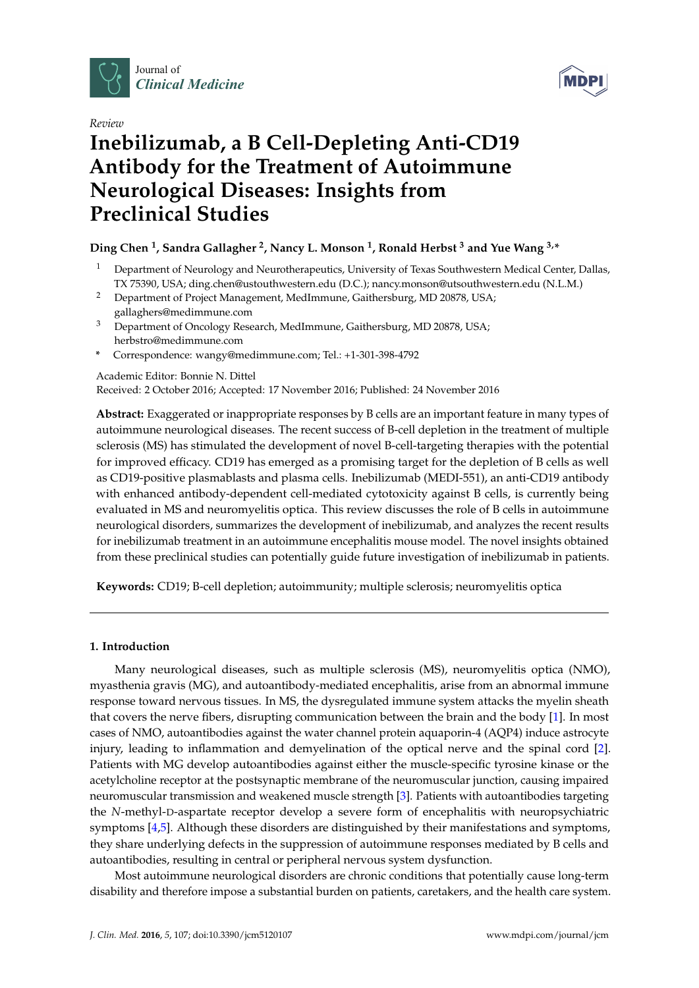



# *Review* **Inebilizumab, a B Cell-Depleting Anti-CD19 Antibody for the Treatment of Autoimmune Neurological Diseases: Insights from Preclinical Studies**

# **Ding Chen <sup>1</sup> , Sandra Gallagher <sup>2</sup> , Nancy L. Monson <sup>1</sup> , Ronald Herbst <sup>3</sup> and Yue Wang 3,\***

- <sup>1</sup> Department of Neurology and Neurotherapeutics, University of Texas Southwestern Medical Center, Dallas, TX 75390, USA; ding.chen@ustouthwestern.edu (D.C.); nancy.monson@utsouthwestern.edu (N.L.M.)
- <sup>2</sup> Department of Project Management, MedImmune, Gaithersburg, MD 20878, USA; gallaghers@medimmune.com
- <sup>3</sup> Department of Oncology Research, MedImmune, Gaithersburg, MD 20878, USA; herbstro@medimmune.com
- **\*** Correspondence: wangy@medimmune.com; Tel.: +1-301-398-4792

Academic Editor: Bonnie N. Dittel

Received: 2 October 2016; Accepted: 17 November 2016; Published: 24 November 2016

**Abstract:** Exaggerated or inappropriate responses by B cells are an important feature in many types of autoimmune neurological diseases. The recent success of B-cell depletion in the treatment of multiple sclerosis (MS) has stimulated the development of novel B-cell-targeting therapies with the potential for improved efficacy. CD19 has emerged as a promising target for the depletion of B cells as well as CD19-positive plasmablasts and plasma cells. Inebilizumab (MEDI-551), an anti-CD19 antibody with enhanced antibody-dependent cell-mediated cytotoxicity against B cells, is currently being evaluated in MS and neuromyelitis optica. This review discusses the role of B cells in autoimmune neurological disorders, summarizes the development of inebilizumab, and analyzes the recent results for inebilizumab treatment in an autoimmune encephalitis mouse model. The novel insights obtained from these preclinical studies can potentially guide future investigation of inebilizumab in patients.

**Keywords:** CD19; B-cell depletion; autoimmunity; multiple sclerosis; neuromyelitis optica

## **1. Introduction**

Many neurological diseases, such as multiple sclerosis (MS), neuromyelitis optica (NMO), myasthenia gravis (MG), and autoantibody-mediated encephalitis, arise from an abnormal immune response toward nervous tissues. In MS, the dysregulated immune system attacks the myelin sheath that covers the nerve fibers, disrupting communication between the brain and the body [\[1\]](#page-7-0). In most cases of NMO, autoantibodies against the water channel protein aquaporin-4 (AQP4) induce astrocyte injury, leading to inflammation and demyelination of the optical nerve and the spinal cord [\[2\]](#page-7-1). Patients with MG develop autoantibodies against either the muscle-specific tyrosine kinase or the acetylcholine receptor at the postsynaptic membrane of the neuromuscular junction, causing impaired neuromuscular transmission and weakened muscle strength [\[3\]](#page-7-2). Patients with autoantibodies targeting the *N*-methyl-D-aspartate receptor develop a severe form of encephalitis with neuropsychiatric symptoms [\[4,](#page-7-3)[5\]](#page-8-0). Although these disorders are distinguished by their manifestations and symptoms, they share underlying defects in the suppression of autoimmune responses mediated by B cells and autoantibodies, resulting in central or peripheral nervous system dysfunction.

Most autoimmune neurological disorders are chronic conditions that potentially cause long-term disability and therefore impose a substantial burden on patients, caretakers, and the health care system.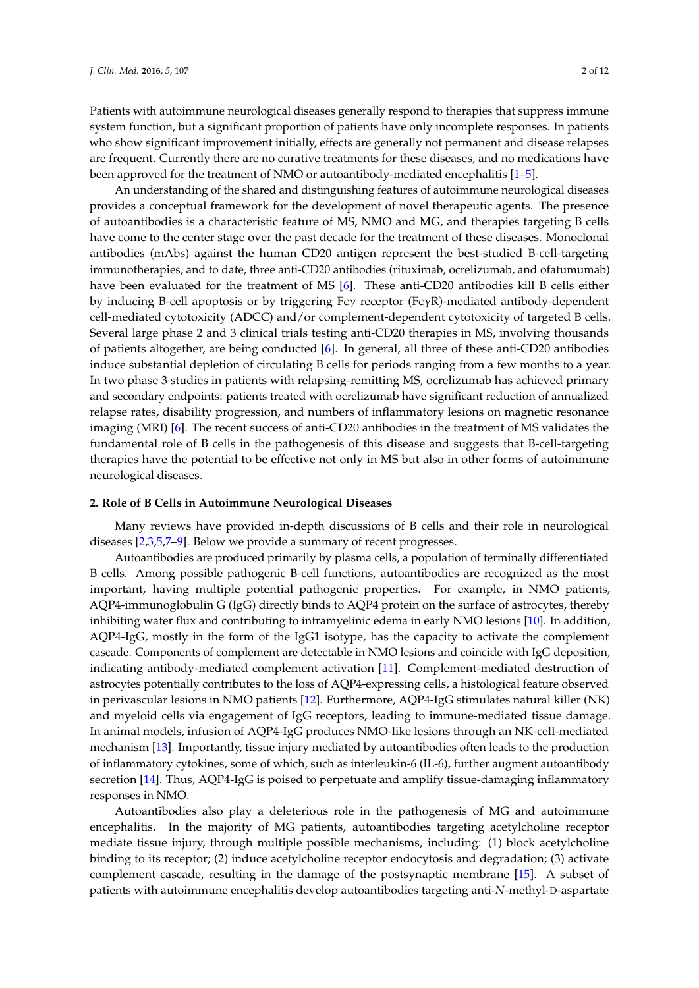Patients with autoimmune neurological diseases generally respond to therapies that suppress immune system function, but a significant proportion of patients have only incomplete responses. In patients who show significant improvement initially, effects are generally not permanent and disease relapses are frequent. Currently there are no curative treatments for these diseases, and no medications have been approved for the treatment of NMO or autoantibody-mediated encephalitis [\[1–](#page-7-0)[5\]](#page-8-0).

An understanding of the shared and distinguishing features of autoimmune neurological diseases provides a conceptual framework for the development of novel therapeutic agents. The presence of autoantibodies is a characteristic feature of MS, NMO and MG, and therapies targeting B cells have come to the center stage over the past decade for the treatment of these diseases. Monoclonal antibodies (mAbs) against the human CD20 antigen represent the best-studied B-cell-targeting immunotherapies, and to date, three anti-CD20 antibodies (rituximab, ocrelizumab, and ofatumumab) have been evaluated for the treatment of MS [\[6\]](#page-8-1). These anti-CD20 antibodies kill B cells either by inducing B-cell apoptosis or by triggering Fcγ receptor (FcγR)-mediated antibody-dependent cell-mediated cytotoxicity (ADCC) and/or complement-dependent cytotoxicity of targeted B cells. Several large phase 2 and 3 clinical trials testing anti-CD20 therapies in MS, involving thousands of patients altogether, are being conducted [\[6\]](#page-8-1). In general, all three of these anti-CD20 antibodies induce substantial depletion of circulating B cells for periods ranging from a few months to a year. In two phase 3 studies in patients with relapsing-remitting MS, ocrelizumab has achieved primary and secondary endpoints: patients treated with ocrelizumab have significant reduction of annualized relapse rates, disability progression, and numbers of inflammatory lesions on magnetic resonance imaging (MRI) [\[6\]](#page-8-1). The recent success of anti-CD20 antibodies in the treatment of MS validates the fundamental role of B cells in the pathogenesis of this disease and suggests that B-cell-targeting therapies have the potential to be effective not only in MS but also in other forms of autoimmune neurological diseases.

#### **2. Role of B Cells in Autoimmune Neurological Diseases**

Many reviews have provided in-depth discussions of B cells and their role in neurological diseases [\[2,](#page-7-1)[3](#page-7-2)[,5](#page-8-0)[,7–](#page-8-2)[9\]](#page-8-3). Below we provide a summary of recent progresses.

Autoantibodies are produced primarily by plasma cells, a population of terminally differentiated B cells. Among possible pathogenic B-cell functions, autoantibodies are recognized as the most important, having multiple potential pathogenic properties. For example, in NMO patients, AQP4-immunoglobulin G (IgG) directly binds to AQP4 protein on the surface of astrocytes, thereby inhibiting water flux and contributing to intramyelinic edema in early NMO lesions [\[10\]](#page-8-4). In addition, AQP4-IgG, mostly in the form of the IgG1 isotype, has the capacity to activate the complement cascade. Components of complement are detectable in NMO lesions and coincide with IgG deposition, indicating antibody-mediated complement activation [\[11\]](#page-8-5). Complement-mediated destruction of astrocytes potentially contributes to the loss of AQP4-expressing cells, a histological feature observed in perivascular lesions in NMO patients [\[12\]](#page-8-6). Furthermore, AQP4-IgG stimulates natural killer (NK) and myeloid cells via engagement of IgG receptors, leading to immune-mediated tissue damage. In animal models, infusion of AQP4-IgG produces NMO-like lesions through an NK-cell-mediated mechanism [\[13\]](#page-8-7). Importantly, tissue injury mediated by autoantibodies often leads to the production of inflammatory cytokines, some of which, such as interleukin-6 (IL-6), further augment autoantibody secretion [\[14\]](#page-8-8). Thus, AQP4-IgG is poised to perpetuate and amplify tissue-damaging inflammatory responses in NMO.

Autoantibodies also play a deleterious role in the pathogenesis of MG and autoimmune encephalitis. In the majority of MG patients, autoantibodies targeting acetylcholine receptor mediate tissue injury, through multiple possible mechanisms, including: (1) block acetylcholine binding to its receptor; (2) induce acetylcholine receptor endocytosis and degradation; (3) activate complement cascade, resulting in the damage of the postsynaptic membrane [\[15\]](#page-8-9). A subset of patients with autoimmune encephalitis develop autoantibodies targeting anti-*N*-methyl-D-aspartate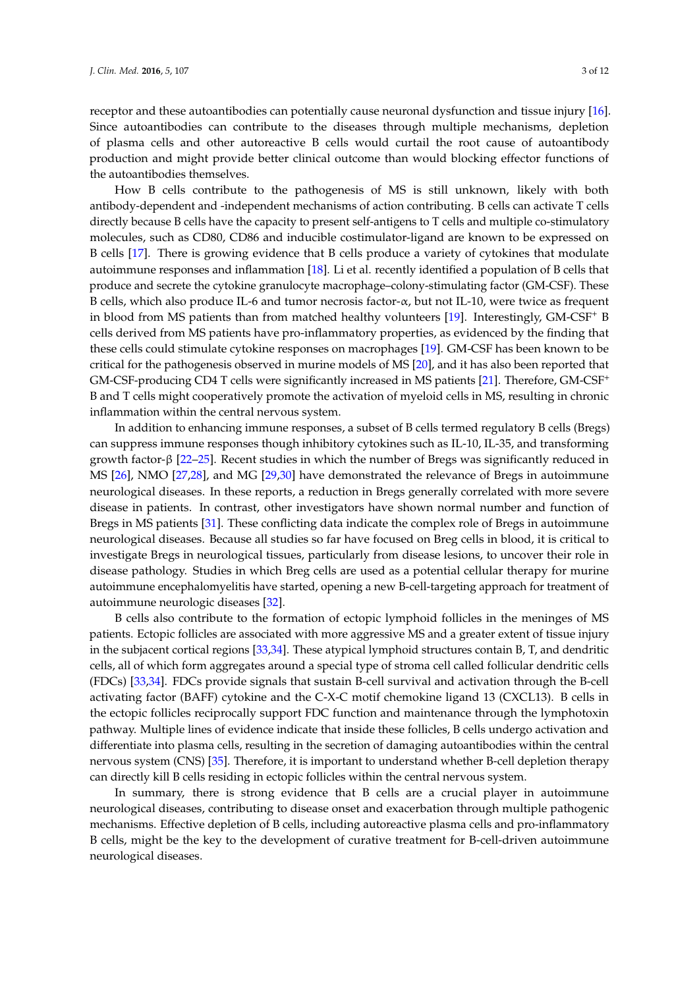receptor and these autoantibodies can potentially cause neuronal dysfunction and tissue injury [\[16\]](#page-8-10). Since autoantibodies can contribute to the diseases through multiple mechanisms, depletion of plasma cells and other autoreactive B cells would curtail the root cause of autoantibody production and might provide better clinical outcome than would blocking effector functions of the autoantibodies themselves.

How B cells contribute to the pathogenesis of MS is still unknown, likely with both antibody-dependent and -independent mechanisms of action contributing. B cells can activate T cells directly because B cells have the capacity to present self-antigens to T cells and multiple co-stimulatory molecules, such as CD80, CD86 and inducible costimulator-ligand are known to be expressed on B cells [\[17\]](#page-8-11). There is growing evidence that B cells produce a variety of cytokines that modulate autoimmune responses and inflammation [\[18\]](#page-8-12). Li et al. recently identified a population of B cells that produce and secrete the cytokine granulocyte macrophage–colony-stimulating factor (GM-CSF). These B cells, which also produce IL-6 and tumor necrosis factor- $\alpha$ , but not IL-10, were twice as frequent in blood from MS patients than from matched healthy volunteers [\[19\]](#page-8-13). Interestingly, GM-CSF<sup>+</sup> B cells derived from MS patients have pro-inflammatory properties, as evidenced by the finding that these cells could stimulate cytokine responses on macrophages [\[19\]](#page-8-13). GM-CSF has been known to be critical for the pathogenesis observed in murine models of MS [\[20\]](#page-8-14), and it has also been reported that GM-CSF-producing CD4 T cells were significantly increased in MS patients [\[21\]](#page-8-15). Therefore, GM-CSF<sup>+</sup> B and T cells might cooperatively promote the activation of myeloid cells in MS, resulting in chronic inflammation within the central nervous system.

In addition to enhancing immune responses, a subset of B cells termed regulatory B cells (Bregs) can suppress immune responses though inhibitory cytokines such as IL-10, IL-35, and transforming growth factor-β [\[22–](#page-8-16)[25\]](#page-9-0). Recent studies in which the number of Bregs was significantly reduced in MS [\[26\]](#page-9-1), NMO [\[27](#page-9-2)[,28\]](#page-9-3), and MG [\[29](#page-9-4)[,30\]](#page-9-5) have demonstrated the relevance of Bregs in autoimmune neurological diseases. In these reports, a reduction in Bregs generally correlated with more severe disease in patients. In contrast, other investigators have shown normal number and function of Bregs in MS patients [\[31\]](#page-9-6). These conflicting data indicate the complex role of Bregs in autoimmune neurological diseases. Because all studies so far have focused on Breg cells in blood, it is critical to investigate Bregs in neurological tissues, particularly from disease lesions, to uncover their role in disease pathology. Studies in which Breg cells are used as a potential cellular therapy for murine autoimmune encephalomyelitis have started, opening a new B-cell-targeting approach for treatment of autoimmune neurologic diseases [\[32\]](#page-9-7).

B cells also contribute to the formation of ectopic lymphoid follicles in the meninges of MS patients. Ectopic follicles are associated with more aggressive MS and a greater extent of tissue injury in the subjacent cortical regions [\[33](#page-9-8)[,34\]](#page-9-9). These atypical lymphoid structures contain B, T, and dendritic cells, all of which form aggregates around a special type of stroma cell called follicular dendritic cells (FDCs) [\[33](#page-9-8)[,34\]](#page-9-9). FDCs provide signals that sustain B-cell survival and activation through the B-cell activating factor (BAFF) cytokine and the C-X-C motif chemokine ligand 13 (CXCL13). B cells in the ectopic follicles reciprocally support FDC function and maintenance through the lymphotoxin pathway. Multiple lines of evidence indicate that inside these follicles, B cells undergo activation and differentiate into plasma cells, resulting in the secretion of damaging autoantibodies within the central nervous system (CNS) [\[35\]](#page-9-10). Therefore, it is important to understand whether B-cell depletion therapy can directly kill B cells residing in ectopic follicles within the central nervous system.

In summary, there is strong evidence that B cells are a crucial player in autoimmune neurological diseases, contributing to disease onset and exacerbation through multiple pathogenic mechanisms. Effective depletion of B cells, including autoreactive plasma cells and pro-inflammatory B cells, might be the key to the development of curative treatment for B-cell-driven autoimmune neurological diseases.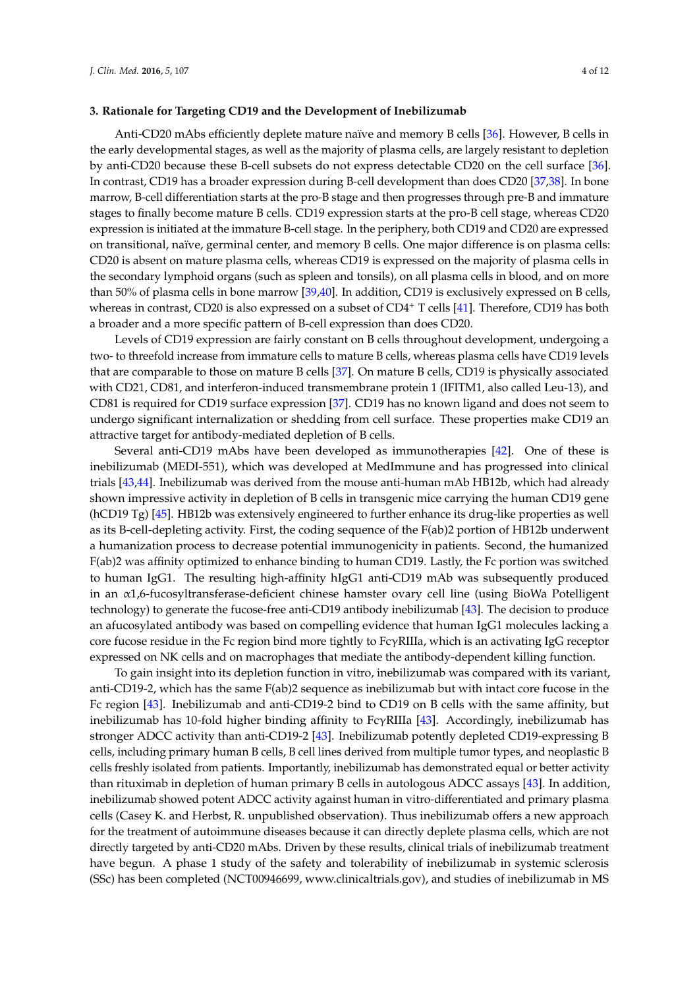#### **3. Rationale for Targeting CD19 and the Development of Inebilizumab**

Anti-CD20 mAbs efficiently deplete mature naïve and memory B cells [\[36\]](#page-9-11). However, B cells in the early developmental stages, as well as the majority of plasma cells, are largely resistant to depletion by anti-CD20 because these B-cell subsets do not express detectable CD20 on the cell surface [\[36\]](#page-9-11). In contrast, CD19 has a broader expression during B-cell development than does CD20 [\[37,](#page-9-12)[38\]](#page-9-13). In bone marrow, B-cell differentiation starts at the pro-B stage and then progresses through pre-B and immature stages to finally become mature B cells. CD19 expression starts at the pro-B cell stage, whereas CD20 expression is initiated at the immature B-cell stage. In the periphery, both CD19 and CD20 are expressed on transitional, naïve, germinal center, and memory B cells. One major difference is on plasma cells: CD20 is absent on mature plasma cells, whereas CD19 is expressed on the majority of plasma cells in the secondary lymphoid organs (such as spleen and tonsils), on all plasma cells in blood, and on more than 50% of plasma cells in bone marrow [\[39](#page-9-14)[,40\]](#page-9-15). In addition, CD19 is exclusively expressed on B cells, whereas in contrast, CD20 is also expressed on a subset of CD4<sup>+</sup> T cells [\[41\]](#page-9-16). Therefore, CD19 has both a broader and a more specific pattern of B-cell expression than does CD20.

Levels of CD19 expression are fairly constant on B cells throughout development, undergoing a two- to threefold increase from immature cells to mature B cells, whereas plasma cells have CD19 levels that are comparable to those on mature B cells [\[37\]](#page-9-12). On mature B cells, CD19 is physically associated with CD21, CD81, and interferon-induced transmembrane protein 1 (IFITM1, also called Leu-13), and CD81 is required for CD19 surface expression [\[37\]](#page-9-12). CD19 has no known ligand and does not seem to undergo significant internalization or shedding from cell surface. These properties make CD19 an attractive target for antibody-mediated depletion of B cells.

Several anti-CD19 mAbs have been developed as immunotherapies [\[42\]](#page-9-17). One of these is inebilizumab (MEDI-551), which was developed at MedImmune and has progressed into clinical trials [\[43](#page-10-0)[,44\]](#page-10-1). Inebilizumab was derived from the mouse anti-human mAb HB12b, which had already shown impressive activity in depletion of B cells in transgenic mice carrying the human CD19 gene (hCD19 Tg) [\[45\]](#page-10-2). HB12b was extensively engineered to further enhance its drug-like properties as well as its B-cell-depleting activity. First, the coding sequence of the F(ab)2 portion of HB12b underwent a humanization process to decrease potential immunogenicity in patients. Second, the humanized F(ab)2 was affinity optimized to enhance binding to human CD19. Lastly, the Fc portion was switched to human IgG1. The resulting high-affinity hIgG1 anti-CD19 mAb was subsequently produced in an α1,6-fucosyltransferase-deficient chinese hamster ovary cell line (using BioWa Potelligent technology) to generate the fucose-free anti-CD19 antibody inebilizumab [\[43\]](#page-10-0). The decision to produce an afucosylated antibody was based on compelling evidence that human IgG1 molecules lacking a core fucose residue in the Fc region bind more tightly to FcγRIIIa, which is an activating IgG receptor expressed on NK cells and on macrophages that mediate the antibody-dependent killing function.

To gain insight into its depletion function in vitro, inebilizumab was compared with its variant, anti-CD19-2, which has the same F(ab)2 sequence as inebilizumab but with intact core fucose in the Fc region [\[43\]](#page-10-0). Inebilizumab and anti-CD19-2 bind to CD19 on B cells with the same affinity, but inebilizumab has 10-fold higher binding affinity to FcγRIIIa [\[43\]](#page-10-0). Accordingly, inebilizumab has stronger ADCC activity than anti-CD19-2 [\[43\]](#page-10-0). Inebilizumab potently depleted CD19-expressing B cells, including primary human B cells, B cell lines derived from multiple tumor types, and neoplastic B cells freshly isolated from patients. Importantly, inebilizumab has demonstrated equal or better activity than rituximab in depletion of human primary B cells in autologous ADCC assays [\[43\]](#page-10-0). In addition, inebilizumab showed potent ADCC activity against human in vitro-differentiated and primary plasma cells (Casey K. and Herbst, R. unpublished observation). Thus inebilizumab offers a new approach for the treatment of autoimmune diseases because it can directly deplete plasma cells, which are not directly targeted by anti-CD20 mAbs. Driven by these results, clinical trials of inebilizumab treatment have begun. A phase 1 study of the safety and tolerability of inebilizumab in systemic sclerosis (SSc) has been completed (NCT00946699, [www.clinicaltrials.gov\)](www.clinicaltrials.gov), and studies of inebilizumab in MS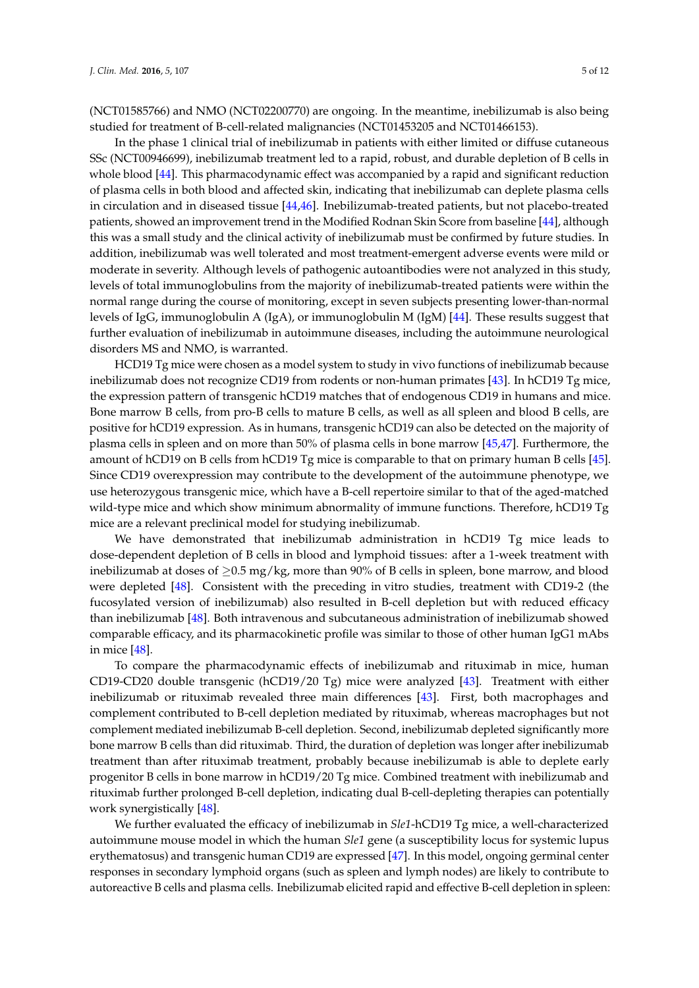(NCT01585766) and NMO (NCT02200770) are ongoing. In the meantime, inebilizumab is also being studied for treatment of B-cell-related malignancies (NCT01453205 and NCT01466153).

In the phase 1 clinical trial of inebilizumab in patients with either limited or diffuse cutaneous SSc (NCT00946699), inebilizumab treatment led to a rapid, robust, and durable depletion of B cells in whole blood [\[44\]](#page-10-1). This pharmacodynamic effect was accompanied by a rapid and significant reduction of plasma cells in both blood and affected skin, indicating that inebilizumab can deplete plasma cells in circulation and in diseased tissue [\[44](#page-10-1)[,46\]](#page-10-3). Inebilizumab-treated patients, but not placebo-treated patients, showed an improvement trend in the Modified Rodnan Skin Score from baseline [\[44\]](#page-10-1), although this was a small study and the clinical activity of inebilizumab must be confirmed by future studies. In addition, inebilizumab was well tolerated and most treatment-emergent adverse events were mild or moderate in severity. Although levels of pathogenic autoantibodies were not analyzed in this study, levels of total immunoglobulins from the majority of inebilizumab-treated patients were within the normal range during the course of monitoring, except in seven subjects presenting lower-than-normal levels of IgG, immunoglobulin A (IgA), or immunoglobulin M (IgM) [\[44\]](#page-10-1). These results suggest that further evaluation of inebilizumab in autoimmune diseases, including the autoimmune neurological disorders MS and NMO, is warranted.

HCD19 Tg mice were chosen as a model system to study in vivo functions of inebilizumab because inebilizumab does not recognize CD19 from rodents or non-human primates [\[43\]](#page-10-0). In hCD19 Tg mice, the expression pattern of transgenic hCD19 matches that of endogenous CD19 in humans and mice. Bone marrow B cells, from pro-B cells to mature B cells, as well as all spleen and blood B cells, are positive for hCD19 expression. As in humans, transgenic hCD19 can also be detected on the majority of plasma cells in spleen and on more than 50% of plasma cells in bone marrow [\[45](#page-10-2)[,47\]](#page-10-4). Furthermore, the amount of hCD19 on B cells from hCD19 Tg mice is comparable to that on primary human B cells [\[45\]](#page-10-2). Since CD19 overexpression may contribute to the development of the autoimmune phenotype, we use heterozygous transgenic mice, which have a B-cell repertoire similar to that of the aged-matched wild-type mice and which show minimum abnormality of immune functions. Therefore, hCD19 Tg mice are a relevant preclinical model for studying inebilizumab.

We have demonstrated that inebilizumab administration in hCD19 Tg mice leads to dose-dependent depletion of B cells in blood and lymphoid tissues: after a 1-week treatment with inebilizumab at doses of  $\geq$ 0.5 mg/kg, more than 90% of B cells in spleen, bone marrow, and blood were depleted [\[48\]](#page-10-5). Consistent with the preceding in vitro studies, treatment with CD19-2 (the fucosylated version of inebilizumab) also resulted in B-cell depletion but with reduced efficacy than inebilizumab [\[48\]](#page-10-5). Both intravenous and subcutaneous administration of inebilizumab showed comparable efficacy, and its pharmacokinetic profile was similar to those of other human IgG1 mAbs in mice [\[48\]](#page-10-5).

To compare the pharmacodynamic effects of inebilizumab and rituximab in mice, human CD19-CD20 double transgenic (hCD19/20 Tg) mice were analyzed [\[43\]](#page-10-0). Treatment with either inebilizumab or rituximab revealed three main differences [\[43\]](#page-10-0). First, both macrophages and complement contributed to B-cell depletion mediated by rituximab, whereas macrophages but not complement mediated inebilizumab B-cell depletion. Second, inebilizumab depleted significantly more bone marrow B cells than did rituximab. Third, the duration of depletion was longer after inebilizumab treatment than after rituximab treatment, probably because inebilizumab is able to deplete early progenitor B cells in bone marrow in hCD19/20 Tg mice. Combined treatment with inebilizumab and rituximab further prolonged B-cell depletion, indicating dual B-cell-depleting therapies can potentially work synergistically [\[48\]](#page-10-5).

We further evaluated the efficacy of inebilizumab in *Sle1*-hCD19 Tg mice, a well-characterized autoimmune mouse model in which the human *Sle1* gene (a susceptibility locus for systemic lupus erythematosus) and transgenic human CD19 are expressed [\[47\]](#page-10-4). In this model, ongoing germinal center responses in secondary lymphoid organs (such as spleen and lymph nodes) are likely to contribute to autoreactive B cells and plasma cells. Inebilizumab elicited rapid and effective B-cell depletion in spleen: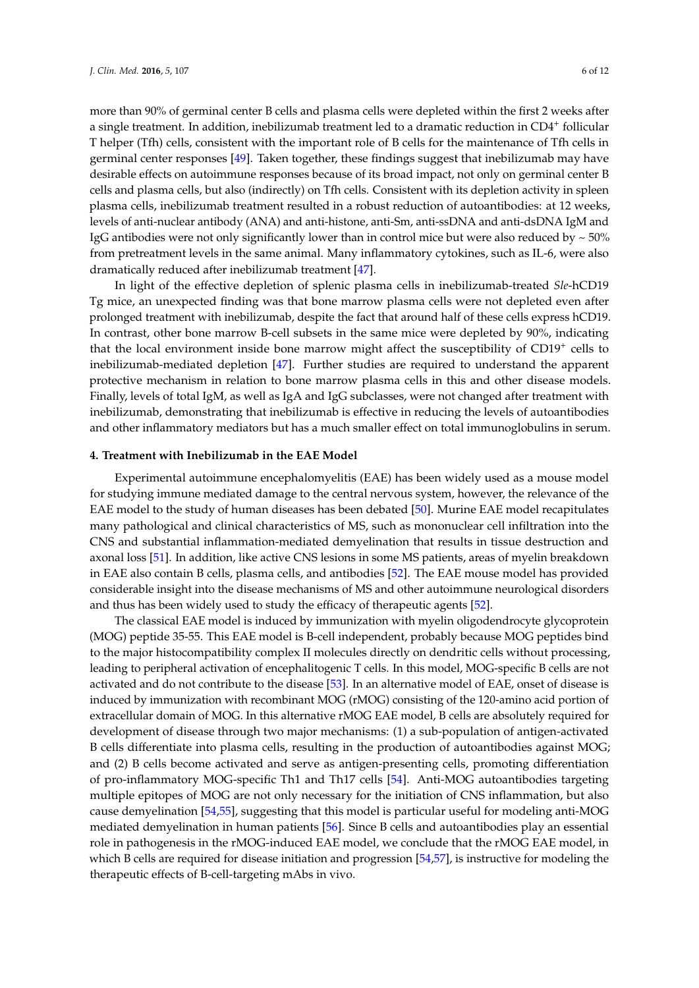more than 90% of germinal center B cells and plasma cells were depleted within the first 2 weeks after a single treatment. In addition, inebilizumab treatment led to a dramatic reduction in CD4<sup>+</sup> follicular T helper (Tfh) cells, consistent with the important role of B cells for the maintenance of Tfh cells in germinal center responses [\[49\]](#page-10-6). Taken together, these findings suggest that inebilizumab may have desirable effects on autoimmune responses because of its broad impact, not only on germinal center B cells and plasma cells, but also (indirectly) on Tfh cells. Consistent with its depletion activity in spleen plasma cells, inebilizumab treatment resulted in a robust reduction of autoantibodies: at 12 weeks, levels of anti-nuclear antibody (ANA) and anti-histone, anti-Sm, anti-ssDNA and anti-dsDNA IgM and IgG antibodies were not only significantly lower than in control mice but were also reduced by  $\sim$  50% from pretreatment levels in the same animal. Many inflammatory cytokines, such as IL-6, were also dramatically reduced after inebilizumab treatment [\[47\]](#page-10-4).

In light of the effective depletion of splenic plasma cells in inebilizumab-treated *Sle*-hCD19 Tg mice, an unexpected finding was that bone marrow plasma cells were not depleted even after prolonged treatment with inebilizumab, despite the fact that around half of these cells express hCD19. In contrast, other bone marrow B-cell subsets in the same mice were depleted by 90%, indicating that the local environment inside bone marrow might affect the susceptibility of CD19<sup>+</sup> cells to inebilizumab-mediated depletion [\[47\]](#page-10-4). Further studies are required to understand the apparent protective mechanism in relation to bone marrow plasma cells in this and other disease models. Finally, levels of total IgM, as well as IgA and IgG subclasses, were not changed after treatment with inebilizumab, demonstrating that inebilizumab is effective in reducing the levels of autoantibodies and other inflammatory mediators but has a much smaller effect on total immunoglobulins in serum.

### **4. Treatment with Inebilizumab in the EAE Model**

Experimental autoimmune encephalomyelitis (EAE) has been widely used as a mouse model for studying immune mediated damage to the central nervous system, however, the relevance of the EAE model to the study of human diseases has been debated [\[50\]](#page-10-7). Murine EAE model recapitulates many pathological and clinical characteristics of MS, such as mononuclear cell infiltration into the CNS and substantial inflammation-mediated demyelination that results in tissue destruction and axonal loss [\[51\]](#page-10-8). In addition, like active CNS lesions in some MS patients, areas of myelin breakdown in EAE also contain B cells, plasma cells, and antibodies [\[52\]](#page-10-9). The EAE mouse model has provided considerable insight into the disease mechanisms of MS and other autoimmune neurological disorders and thus has been widely used to study the efficacy of therapeutic agents [\[52\]](#page-10-9).

The classical EAE model is induced by immunization with myelin oligodendrocyte glycoprotein (MOG) peptide 35-55. This EAE model is B-cell independent, probably because MOG peptides bind to the major histocompatibility complex II molecules directly on dendritic cells without processing, leading to peripheral activation of encephalitogenic T cells. In this model, MOG-specific B cells are not activated and do not contribute to the disease [\[53\]](#page-10-10). In an alternative model of EAE, onset of disease is induced by immunization with recombinant MOG (rMOG) consisting of the 120-amino acid portion of extracellular domain of MOG. In this alternative rMOG EAE model, B cells are absolutely required for development of disease through two major mechanisms: (1) a sub-population of antigen-activated B cells differentiate into plasma cells, resulting in the production of autoantibodies against MOG; and (2) B cells become activated and serve as antigen-presenting cells, promoting differentiation of pro-inflammatory MOG-specific Th1 and Th17 cells [\[54\]](#page-10-11). Anti-MOG autoantibodies targeting multiple epitopes of MOG are not only necessary for the initiation of CNS inflammation, but also cause demyelination [\[54](#page-10-11)[,55\]](#page-10-12), suggesting that this model is particular useful for modeling anti-MOG mediated demyelination in human patients [\[56\]](#page-10-13). Since B cells and autoantibodies play an essential role in pathogenesis in the rMOG-induced EAE model, we conclude that the rMOG EAE model, in which B cells are required for disease initiation and progression [\[54,](#page-10-11)[57\]](#page-10-14), is instructive for modeling the therapeutic effects of B-cell-targeting mAbs in vivo.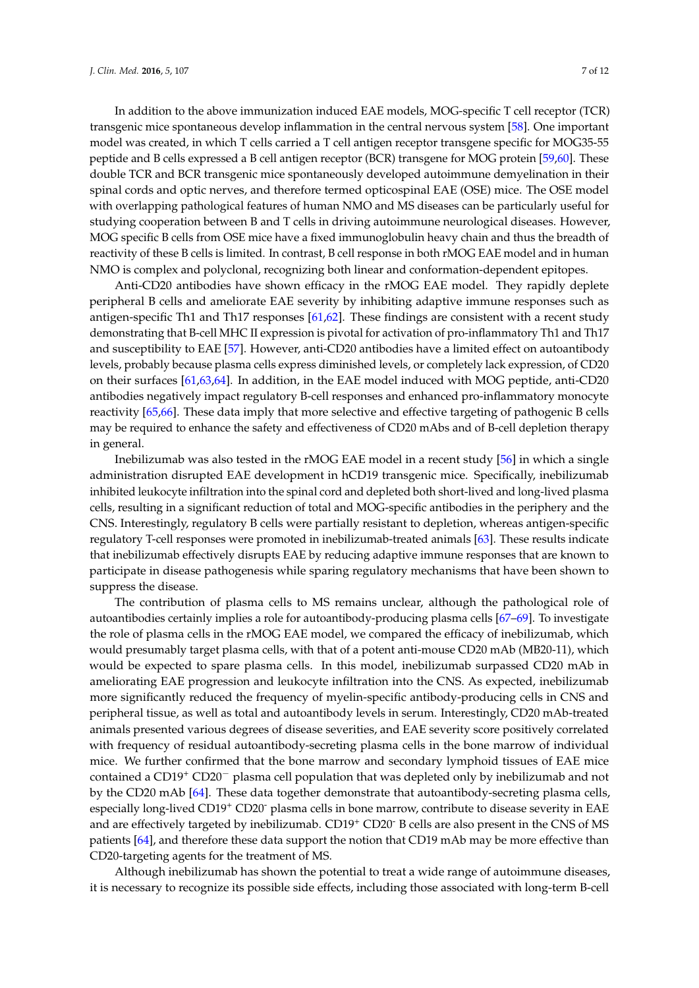In addition to the above immunization induced EAE models, MOG-specific T cell receptor (TCR) transgenic mice spontaneous develop inflammation in the central nervous system [\[58\]](#page-10-15). One important model was created, in which T cells carried a T cell antigen receptor transgene specific for MOG35-55 peptide and B cells expressed a B cell antigen receptor (BCR) transgene for MOG protein [\[59](#page-10-16)[,60\]](#page-10-17). These double TCR and BCR transgenic mice spontaneously developed autoimmune demyelination in their spinal cords and optic nerves, and therefore termed opticospinal EAE (OSE) mice. The OSE model with overlapping pathological features of human NMO and MS diseases can be particularly useful for studying cooperation between B and T cells in driving autoimmune neurological diseases. However, MOG specific B cells from OSE mice have a fixed immunoglobulin heavy chain and thus the breadth of reactivity of these B cells is limited. In contrast, B cell response in both rMOG EAE model and in human NMO is complex and polyclonal, recognizing both linear and conformation-dependent epitopes.

Anti-CD20 antibodies have shown efficacy in the rMOG EAE model. They rapidly deplete peripheral B cells and ameliorate EAE severity by inhibiting adaptive immune responses such as antigen-specific Th1 and Th17 responses [\[61,](#page-11-0)[62\]](#page-11-1). These findings are consistent with a recent study demonstrating that B-cell MHC II expression is pivotal for activation of pro-inflammatory Th1 and Th17 and susceptibility to EAE [\[57\]](#page-10-14). However, anti-CD20 antibodies have a limited effect on autoantibody levels, probably because plasma cells express diminished levels, or completely lack expression, of CD20 on their surfaces [\[61,](#page-11-0)[63,](#page-11-2)[64\]](#page-11-3). In addition, in the EAE model induced with MOG peptide, anti-CD20 antibodies negatively impact regulatory B-cell responses and enhanced pro-inflammatory monocyte reactivity [\[65,](#page-11-4)[66\]](#page-11-5). These data imply that more selective and effective targeting of pathogenic B cells may be required to enhance the safety and effectiveness of CD20 mAbs and of B-cell depletion therapy in general.

Inebilizumab was also tested in the rMOG EAE model in a recent study [\[56\]](#page-10-13) in which a single administration disrupted EAE development in hCD19 transgenic mice. Specifically, inebilizumab inhibited leukocyte infiltration into the spinal cord and depleted both short-lived and long-lived plasma cells, resulting in a significant reduction of total and MOG-specific antibodies in the periphery and the CNS. Interestingly, regulatory B cells were partially resistant to depletion, whereas antigen-specific regulatory T-cell responses were promoted in inebilizumab-treated animals [\[63\]](#page-11-2). These results indicate that inebilizumab effectively disrupts EAE by reducing adaptive immune responses that are known to participate in disease pathogenesis while sparing regulatory mechanisms that have been shown to suppress the disease.

The contribution of plasma cells to MS remains unclear, although the pathological role of autoantibodies certainly implies a role for autoantibody-producing plasma cells [\[67](#page-11-6)[–69\]](#page-11-7). To investigate the role of plasma cells in the rMOG EAE model, we compared the efficacy of inebilizumab, which would presumably target plasma cells, with that of a potent anti-mouse CD20 mAb (MB20-11), which would be expected to spare plasma cells. In this model, inebilizumab surpassed CD20 mAb in ameliorating EAE progression and leukocyte infiltration into the CNS. As expected, inebilizumab more significantly reduced the frequency of myelin-specific antibody-producing cells in CNS and peripheral tissue, as well as total and autoantibody levels in serum. Interestingly, CD20 mAb-treated animals presented various degrees of disease severities, and EAE severity score positively correlated with frequency of residual autoantibody-secreting plasma cells in the bone marrow of individual mice. We further confirmed that the bone marrow and secondary lymphoid tissues of EAE mice contained a CD19<sup>+</sup> CD20<sup>−</sup> plasma cell population that was depleted only by inebilizumab and not by the CD20 mAb [\[64\]](#page-11-3). These data together demonstrate that autoantibody-secreting plasma cells, especially long-lived CD19<sup>+</sup> CD20<sup>-</sup> plasma cells in bone marrow, contribute to disease severity in EAE and are effectively targeted by inebilizumab. CD19<sup>+</sup> CD20<sup>-</sup> B cells are also present in the CNS of MS patients [\[64\]](#page-11-3), and therefore these data support the notion that CD19 mAb may be more effective than CD20-targeting agents for the treatment of MS.

Although inebilizumab has shown the potential to treat a wide range of autoimmune diseases, it is necessary to recognize its possible side effects, including those associated with long-term B-cell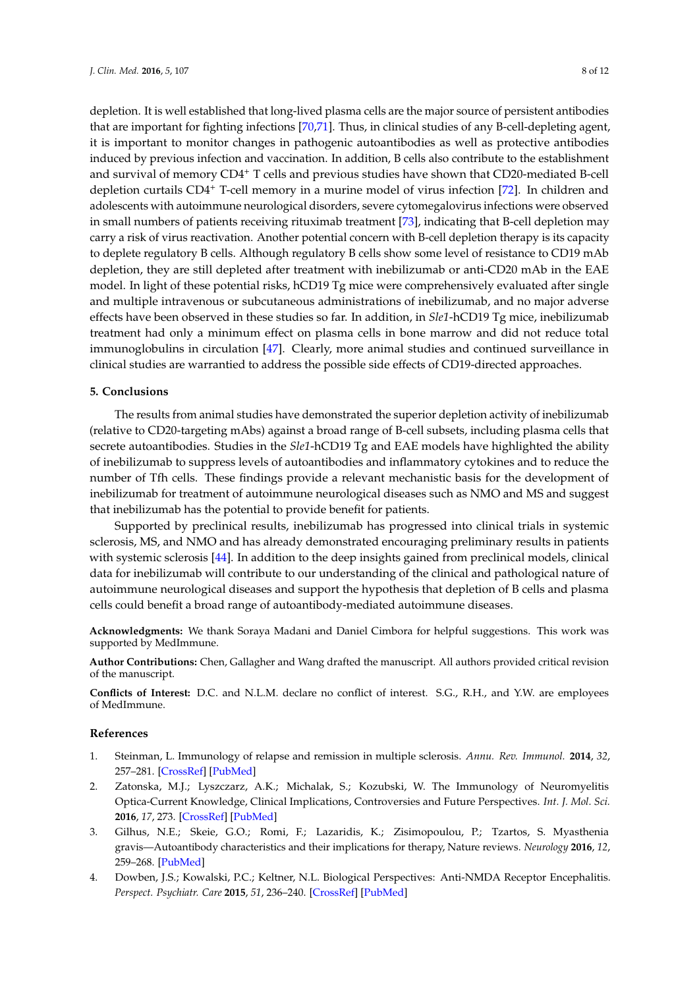depletion. It is well established that long-lived plasma cells are the major source of persistent antibodies that are important for fighting infections [\[70](#page-11-8)[,71\]](#page-11-9). Thus, in clinical studies of any B-cell-depleting agent, it is important to monitor changes in pathogenic autoantibodies as well as protective antibodies induced by previous infection and vaccination. In addition, B cells also contribute to the establishment and survival of memory CD4<sup>+</sup> T cells and previous studies have shown that CD20-mediated B-cell depletion curtails CD4<sup>+</sup> T-cell memory in a murine model of virus infection [\[72\]](#page-11-10). In children and adolescents with autoimmune neurological disorders, severe cytomegalovirus infections were observed in small numbers of patients receiving rituximab treatment [\[73\]](#page-11-11), indicating that B-cell depletion may carry a risk of virus reactivation. Another potential concern with B-cell depletion therapy is its capacity to deplete regulatory B cells. Although regulatory B cells show some level of resistance to CD19 mAb depletion, they are still depleted after treatment with inebilizumab or anti-CD20 mAb in the EAE model. In light of these potential risks, hCD19 Tg mice were comprehensively evaluated after single and multiple intravenous or subcutaneous administrations of inebilizumab, and no major adverse effects have been observed in these studies so far. In addition, in *Sle1*-hCD19 Tg mice, inebilizumab treatment had only a minimum effect on plasma cells in bone marrow and did not reduce total immunoglobulins in circulation [\[47\]](#page-10-4). Clearly, more animal studies and continued surveillance in clinical studies are warrantied to address the possible side effects of CD19-directed approaches.

#### **5. Conclusions**

The results from animal studies have demonstrated the superior depletion activity of inebilizumab (relative to CD20-targeting mAbs) against a broad range of B-cell subsets, including plasma cells that secrete autoantibodies. Studies in the *Sle1*-hCD19 Tg and EAE models have highlighted the ability of inebilizumab to suppress levels of autoantibodies and inflammatory cytokines and to reduce the number of Tfh cells. These findings provide a relevant mechanistic basis for the development of inebilizumab for treatment of autoimmune neurological diseases such as NMO and MS and suggest that inebilizumab has the potential to provide benefit for patients.

Supported by preclinical results, inebilizumab has progressed into clinical trials in systemic sclerosis, MS, and NMO and has already demonstrated encouraging preliminary results in patients with systemic sclerosis [\[44\]](#page-10-1). In addition to the deep insights gained from preclinical models, clinical data for inebilizumab will contribute to our understanding of the clinical and pathological nature of autoimmune neurological diseases and support the hypothesis that depletion of B cells and plasma cells could benefit a broad range of autoantibody-mediated autoimmune diseases.

**Acknowledgments:** We thank Soraya Madani and Daniel Cimbora for helpful suggestions. This work was supported by MedImmune.

**Author Contributions:** Chen, Gallagher and Wang drafted the manuscript. All authors provided critical revision of the manuscript.

**Conflicts of Interest:** D.C. and N.L.M. declare no conflict of interest. S.G., R.H., and Y.W. are employees of MedImmune.

#### **References**

- <span id="page-7-0"></span>1. Steinman, L. Immunology of relapse and remission in multiple sclerosis. *Annu. Rev. Immunol.* **2014**, *32*, 257–281. [\[CrossRef\]](http://dx.doi.org/10.1146/annurev-immunol-032713-120227) [\[PubMed\]](http://www.ncbi.nlm.nih.gov/pubmed/24438352)
- <span id="page-7-1"></span>2. Zatonska, M.J.; Lyszczarz, A.K.; Michalak, S.; Kozubski, W. The Immunology of Neuromyelitis Optica-Current Knowledge, Clinical Implications, Controversies and Future Perspectives. *Int. J. Mol. Sci.* **2016**, *17*, 273. [\[CrossRef\]](http://dx.doi.org/10.3390/ijms17030273) [\[PubMed\]](http://www.ncbi.nlm.nih.gov/pubmed/26950113)
- <span id="page-7-2"></span>3. Gilhus, N.E.; Skeie, G.O.; Romi, F.; Lazaridis, K.; Zisimopoulou, P.; Tzartos, S. Myasthenia gravis—Autoantibody characteristics and their implications for therapy, Nature reviews. *Neurology* **2016**, *12*, 259–268. [\[PubMed\]](http://www.ncbi.nlm.nih.gov/pubmed/27103470)
- <span id="page-7-3"></span>4. Dowben, J.S.; Kowalski, P.C.; Keltner, N.L. Biological Perspectives: Anti-NMDA Receptor Encephalitis. *Perspect. Psychiatr. Care* **2015**, *51*, 236–240. [\[CrossRef\]](http://dx.doi.org/10.1111/ppc.12132) [\[PubMed\]](http://www.ncbi.nlm.nih.gov/pubmed/26220456)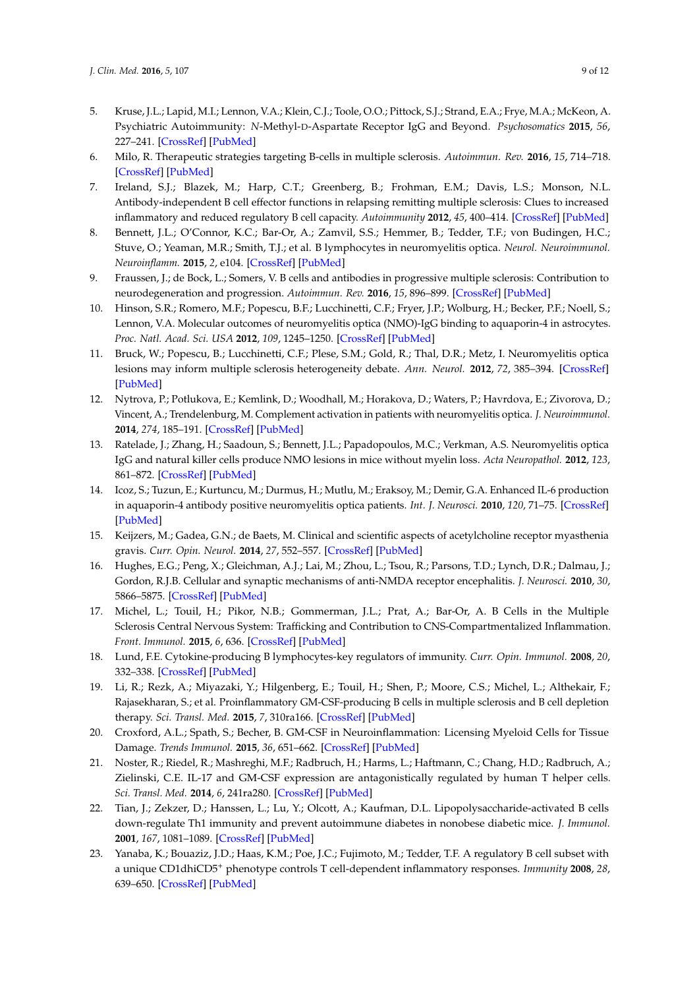- <span id="page-8-0"></span>5. Kruse, J.L.; Lapid, M.I.; Lennon, V.A.; Klein, C.J.; Toole, O.O.; Pittock, S.J.; Strand, E.A.; Frye, M.A.; McKeon, A. Psychiatric Autoimmunity: *N*-Methyl-D-Aspartate Receptor IgG and Beyond. *Psychosomatics* **2015**, *56*, 227–241. [\[CrossRef\]](http://dx.doi.org/10.1016/j.psym.2015.01.003) [\[PubMed\]](http://www.ncbi.nlm.nih.gov/pubmed/25975857)
- <span id="page-8-1"></span>6. Milo, R. Therapeutic strategies targeting B-cells in multiple sclerosis. *Autoimmun. Rev.* **2016**, *15*, 714–718. [\[CrossRef\]](http://dx.doi.org/10.1016/j.autrev.2016.03.006) [\[PubMed\]](http://www.ncbi.nlm.nih.gov/pubmed/26970489)
- <span id="page-8-2"></span>7. Ireland, S.J.; Blazek, M.; Harp, C.T.; Greenberg, B.; Frohman, E.M.; Davis, L.S.; Monson, N.L. Antibody-independent B cell effector functions in relapsing remitting multiple sclerosis: Clues to increased inflammatory and reduced regulatory B cell capacity. *Autoimmunity* **2012**, *45*, 400–414. [\[CrossRef\]](http://dx.doi.org/10.3109/08916934.2012.665529) [\[PubMed\]](http://www.ncbi.nlm.nih.gov/pubmed/22432732)
- 8. Bennett, J.L.; O'Connor, K.C.; Bar-Or, A.; Zamvil, S.S.; Hemmer, B.; Tedder, T.F.; von Budingen, H.C.; Stuve, O.; Yeaman, M.R.; Smith, T.J.; et al. B lymphocytes in neuromyelitis optica. *Neurol. Neuroimmunol. Neuroinflamm.* **2015**, *2*, e104. [\[CrossRef\]](http://dx.doi.org/10.1212/NXI.0000000000000104) [\[PubMed\]](http://www.ncbi.nlm.nih.gov/pubmed/25977932)
- <span id="page-8-3"></span>9. Fraussen, J.; de Bock, L.; Somers, V. B cells and antibodies in progressive multiple sclerosis: Contribution to neurodegeneration and progression. *Autoimmun. Rev.* **2016**, *15*, 896–899. [\[CrossRef\]](http://dx.doi.org/10.1016/j.autrev.2016.07.008) [\[PubMed\]](http://www.ncbi.nlm.nih.gov/pubmed/27396817)
- <span id="page-8-4"></span>10. Hinson, S.R.; Romero, M.F.; Popescu, B.F.; Lucchinetti, C.F.; Fryer, J.P.; Wolburg, H.; Becker, P.F.; Noell, S.; Lennon, V.A. Molecular outcomes of neuromyelitis optica (NMO)-IgG binding to aquaporin-4 in astrocytes. *Proc. Natl. Acad. Sci. USA* **2012**, *109*, 1245–1250. [\[CrossRef\]](http://dx.doi.org/10.1073/pnas.1109980108) [\[PubMed\]](http://www.ncbi.nlm.nih.gov/pubmed/22128336)
- <span id="page-8-5"></span>11. Bruck, W.; Popescu, B.; Lucchinetti, C.F.; Plese, S.M.; Gold, R.; Thal, D.R.; Metz, I. Neuromyelitis optica lesions may inform multiple sclerosis heterogeneity debate. *Ann. Neurol.* **2012**, *72*, 385–394. [\[CrossRef\]](http://dx.doi.org/10.1002/ana.23621) [\[PubMed\]](http://www.ncbi.nlm.nih.gov/pubmed/23034911)
- <span id="page-8-6"></span>12. Nytrova, P.; Potlukova, E.; Kemlink, D.; Woodhall, M.; Horakova, D.; Waters, P.; Havrdova, E.; Zivorova, D.; Vincent, A.; Trendelenburg, M. Complement activation in patients with neuromyelitis optica. *J. Neuroimmunol.* **2014**, *274*, 185–191. [\[CrossRef\]](http://dx.doi.org/10.1016/j.jneuroim.2014.07.001) [\[PubMed\]](http://www.ncbi.nlm.nih.gov/pubmed/25109258)
- <span id="page-8-7"></span>13. Ratelade, J.; Zhang, H.; Saadoun, S.; Bennett, J.L.; Papadopoulos, M.C.; Verkman, A.S. Neuromyelitis optica IgG and natural killer cells produce NMO lesions in mice without myelin loss. *Acta Neuropathol.* **2012**, *123*, 861–872. [\[CrossRef\]](http://dx.doi.org/10.1007/s00401-012-0986-4) [\[PubMed\]](http://www.ncbi.nlm.nih.gov/pubmed/22526022)
- <span id="page-8-8"></span>14. Icoz, S.; Tuzun, E.; Kurtuncu, M.; Durmus, H.; Mutlu, M.; Eraksoy, M.; Demir, G.A. Enhanced IL-6 production in aquaporin-4 antibody positive neuromyelitis optica patients. *Int. J. Neurosci.* **2010**, *120*, 71–75. [\[CrossRef\]](http://dx.doi.org/10.3109/00207450903428970) [\[PubMed\]](http://www.ncbi.nlm.nih.gov/pubmed/20128675)
- <span id="page-8-9"></span>15. Keijzers, M.; Gadea, G.N.; de Baets, M. Clinical and scientific aspects of acetylcholine receptor myasthenia gravis. *Curr. Opin. Neurol.* **2014**, *27*, 552–557. [\[CrossRef\]](http://dx.doi.org/10.1097/WCO.0000000000000125) [\[PubMed\]](http://www.ncbi.nlm.nih.gov/pubmed/25105461)
- <span id="page-8-10"></span>16. Hughes, E.G.; Peng, X.; Gleichman, A.J.; Lai, M.; Zhou, L.; Tsou, R.; Parsons, T.D.; Lynch, D.R.; Dalmau, J.; Gordon, R.J.B. Cellular and synaptic mechanisms of anti-NMDA receptor encephalitis. *J. Neurosci.* **2010**, *30*, 5866–5875. [\[CrossRef\]](http://dx.doi.org/10.1523/JNEUROSCI.0167-10.2010) [\[PubMed\]](http://www.ncbi.nlm.nih.gov/pubmed/20427647)
- <span id="page-8-11"></span>17. Michel, L.; Touil, H.; Pikor, N.B.; Gommerman, J.L.; Prat, A.; Bar-Or, A. B Cells in the Multiple Sclerosis Central Nervous System: Trafficking and Contribution to CNS-Compartmentalized Inflammation. *Front. Immunol.* **2015**, *6*, 636. [\[CrossRef\]](http://dx.doi.org/10.3389/fimmu.2015.00636) [\[PubMed\]](http://www.ncbi.nlm.nih.gov/pubmed/26732544)
- <span id="page-8-12"></span>18. Lund, F.E. Cytokine-producing B lymphocytes-key regulators of immunity. *Curr. Opin. Immunol.* **2008**, *20*, 332–338. [\[CrossRef\]](http://dx.doi.org/10.1016/j.coi.2008.03.003) [\[PubMed\]](http://www.ncbi.nlm.nih.gov/pubmed/18417336)
- <span id="page-8-13"></span>19. Li, R.; Rezk, A.; Miyazaki, Y.; Hilgenberg, E.; Touil, H.; Shen, P.; Moore, C.S.; Michel, L.; Althekair, F.; Rajasekharan, S.; et al. Proinflammatory GM-CSF-producing B cells in multiple sclerosis and B cell depletion therapy. *Sci. Transl. Med.* **2015**, *7*, 310ra166. [\[CrossRef\]](http://dx.doi.org/10.1126/scitranslmed.aab4176) [\[PubMed\]](http://www.ncbi.nlm.nih.gov/pubmed/26491076)
- <span id="page-8-14"></span>20. Croxford, A.L.; Spath, S.; Becher, B. GM-CSF in Neuroinflammation: Licensing Myeloid Cells for Tissue Damage. *Trends Immunol.* **2015**, *36*, 651–662. [\[CrossRef\]](http://dx.doi.org/10.1016/j.it.2015.08.004) [\[PubMed\]](http://www.ncbi.nlm.nih.gov/pubmed/26431942)
- <span id="page-8-15"></span>21. Noster, R.; Riedel, R.; Mashreghi, M.F.; Radbruch, H.; Harms, L.; Haftmann, C.; Chang, H.D.; Radbruch, A.; Zielinski, C.E. IL-17 and GM-CSF expression are antagonistically regulated by human T helper cells. *Sci. Transl. Med.* **2014**, *6*, 241ra280. [\[CrossRef\]](http://dx.doi.org/10.1126/scitranslmed.3008706) [\[PubMed\]](http://www.ncbi.nlm.nih.gov/pubmed/24944195)
- <span id="page-8-16"></span>22. Tian, J.; Zekzer, D.; Hanssen, L.; Lu, Y.; Olcott, A.; Kaufman, D.L. Lipopolysaccharide-activated B cells down-regulate Th1 immunity and prevent autoimmune diabetes in nonobese diabetic mice. *J. Immunol.* **2001**, *167*, 1081–1089. [\[CrossRef\]](http://dx.doi.org/10.4049/jimmunol.167.2.1081) [\[PubMed\]](http://www.ncbi.nlm.nih.gov/pubmed/11441119)
- 23. Yanaba, K.; Bouaziz, J.D.; Haas, K.M.; Poe, J.C.; Fujimoto, M.; Tedder, T.F. A regulatory B cell subset with a unique CD1dhiCD5<sup>+</sup> phenotype controls T cell-dependent inflammatory responses. *Immunity* **2008**, *28*, 639–650. [\[CrossRef\]](http://dx.doi.org/10.1016/j.immuni.2008.03.017) [\[PubMed\]](http://www.ncbi.nlm.nih.gov/pubmed/18482568)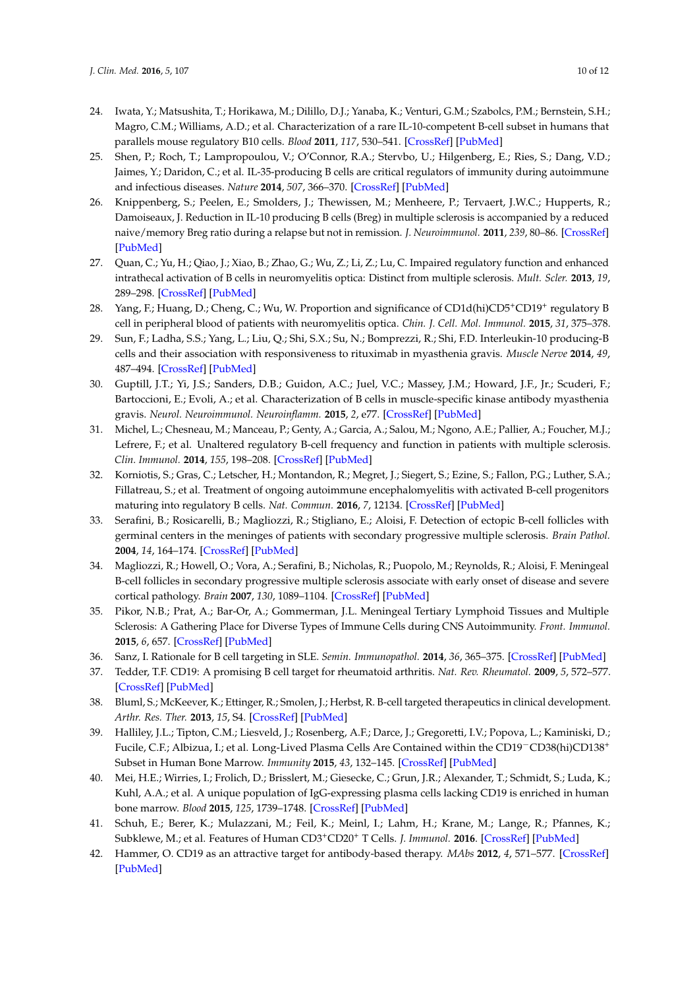- 24. Iwata, Y.; Matsushita, T.; Horikawa, M.; Dilillo, D.J.; Yanaba, K.; Venturi, G.M.; Szabolcs, P.M.; Bernstein, S.H.; Magro, C.M.; Williams, A.D.; et al. Characterization of a rare IL-10-competent B-cell subset in humans that parallels mouse regulatory B10 cells. *Blood* **2011**, *117*, 530–541. [\[CrossRef\]](http://dx.doi.org/10.1182/blood-2010-07-294249) [\[PubMed\]](http://www.ncbi.nlm.nih.gov/pubmed/20962324)
- <span id="page-9-0"></span>25. Shen, P.; Roch, T.; Lampropoulou, V.; O'Connor, R.A.; Stervbo, U.; Hilgenberg, E.; Ries, S.; Dang, V.D.; Jaimes, Y.; Daridon, C.; et al. IL-35-producing B cells are critical regulators of immunity during autoimmune and infectious diseases. *Nature* **2014**, *507*, 366–370. [\[CrossRef\]](http://dx.doi.org/10.1038/nature12979) [\[PubMed\]](http://www.ncbi.nlm.nih.gov/pubmed/24572363)
- <span id="page-9-1"></span>26. Knippenberg, S.; Peelen, E.; Smolders, J.; Thewissen, M.; Menheere, P.; Tervaert, J.W.C.; Hupperts, R.; Damoiseaux, J. Reduction in IL-10 producing B cells (Breg) in multiple sclerosis is accompanied by a reduced naive/memory Breg ratio during a relapse but not in remission. *J. Neuroimmunol.* **2011**, *239*, 80–86. [\[CrossRef\]](http://dx.doi.org/10.1016/j.jneuroim.2011.08.019) [\[PubMed\]](http://www.ncbi.nlm.nih.gov/pubmed/21940055)
- <span id="page-9-2"></span>27. Quan, C.; Yu, H.; Qiao, J.; Xiao, B.; Zhao, G.; Wu, Z.; Li, Z.; Lu, C. Impaired regulatory function and enhanced intrathecal activation of B cells in neuromyelitis optica: Distinct from multiple sclerosis. *Mult. Scler.* **2013**, *19*, 289–298. [\[CrossRef\]](http://dx.doi.org/10.1177/1352458512454771) [\[PubMed\]](http://www.ncbi.nlm.nih.gov/pubmed/22864301)
- <span id="page-9-3"></span>28. Yang, F.; Huang, D.; Cheng, C.; Wu, W. Proportion and significance of CD1d(hi)CD5<sup>+</sup>CD19<sup>+</sup> regulatory B cell in peripheral blood of patients with neuromyelitis optica. *Chin. J. Cell. Mol. Immunol.* **2015**, *31*, 375–378.
- <span id="page-9-4"></span>29. Sun, F.; Ladha, S.S.; Yang, L.; Liu, Q.; Shi, S.X.; Su, N.; Bomprezzi, R.; Shi, F.D. Interleukin-10 producing-B cells and their association with responsiveness to rituximab in myasthenia gravis. *Muscle Nerve* **2014**, *49*, 487–494. [\[CrossRef\]](http://dx.doi.org/10.1002/mus.23951) [\[PubMed\]](http://www.ncbi.nlm.nih.gov/pubmed/23868194)
- <span id="page-9-5"></span>30. Guptill, J.T.; Yi, J.S.; Sanders, D.B.; Guidon, A.C.; Juel, V.C.; Massey, J.M.; Howard, J.F., Jr.; Scuderi, F.; Bartoccioni, E.; Evoli, A.; et al. Characterization of B cells in muscle-specific kinase antibody myasthenia gravis. *Neurol. Neuroimmunol. Neuroinflamm.* **2015**, *2*, e77. [\[CrossRef\]](http://dx.doi.org/10.1212/NXI.0000000000000077) [\[PubMed\]](http://www.ncbi.nlm.nih.gov/pubmed/25745635)
- <span id="page-9-6"></span>31. Michel, L.; Chesneau, M.; Manceau, P.; Genty, A.; Garcia, A.; Salou, M.; Ngono, A.E.; Pallier, A.; Foucher, M.J.; Lefrere, F.; et al. Unaltered regulatory B-cell frequency and function in patients with multiple sclerosis. *Clin. Immunol.* **2014**, *155*, 198–208. [\[CrossRef\]](http://dx.doi.org/10.1016/j.clim.2014.09.011) [\[PubMed\]](http://www.ncbi.nlm.nih.gov/pubmed/25267439)
- <span id="page-9-7"></span>32. Korniotis, S.; Gras, C.; Letscher, H.; Montandon, R.; Megret, J.; Siegert, S.; Ezine, S.; Fallon, P.G.; Luther, S.A.; Fillatreau, S.; et al. Treatment of ongoing autoimmune encephalomyelitis with activated B-cell progenitors maturing into regulatory B cells. *Nat. Commun.* **2016**, *7*, 12134. [\[CrossRef\]](http://dx.doi.org/10.1038/ncomms12134) [\[PubMed\]](http://www.ncbi.nlm.nih.gov/pubmed/27396388)
- <span id="page-9-8"></span>33. Serafini, B.; Rosicarelli, B.; Magliozzi, R.; Stigliano, E.; Aloisi, F. Detection of ectopic B-cell follicles with germinal centers in the meninges of patients with secondary progressive multiple sclerosis. *Brain Pathol.* **2004**, *14*, 164–174. [\[CrossRef\]](http://dx.doi.org/10.1111/j.1750-3639.2004.tb00049.x) [\[PubMed\]](http://www.ncbi.nlm.nih.gov/pubmed/15193029)
- <span id="page-9-9"></span>34. Magliozzi, R.; Howell, O.; Vora, A.; Serafini, B.; Nicholas, R.; Puopolo, M.; Reynolds, R.; Aloisi, F. Meningeal B-cell follicles in secondary progressive multiple sclerosis associate with early onset of disease and severe cortical pathology. *Brain* **2007**, *130*, 1089–1104. [\[CrossRef\]](http://dx.doi.org/10.1093/brain/awm038) [\[PubMed\]](http://www.ncbi.nlm.nih.gov/pubmed/17438020)
- <span id="page-9-10"></span>35. Pikor, N.B.; Prat, A.; Bar-Or, A.; Gommerman, J.L. Meningeal Tertiary Lymphoid Tissues and Multiple Sclerosis: A Gathering Place for Diverse Types of Immune Cells during CNS Autoimmunity. *Front. Immunol.* **2015**, *6*, 657. [\[CrossRef\]](http://dx.doi.org/10.3389/fimmu.2015.00657) [\[PubMed\]](http://www.ncbi.nlm.nih.gov/pubmed/26793195)
- <span id="page-9-11"></span>36. Sanz, I. Rationale for B cell targeting in SLE. *Semin. Immunopathol.* **2014**, *36*, 365–375. [\[CrossRef\]](http://dx.doi.org/10.1007/s00281-014-0430-z) [\[PubMed\]](http://www.ncbi.nlm.nih.gov/pubmed/24763533)
- <span id="page-9-12"></span>37. Tedder, T.F. CD19: A promising B cell target for rheumatoid arthritis. *Nat. Rev. Rheumatol.* **2009**, *5*, 572–577. [\[CrossRef\]](http://dx.doi.org/10.1038/nrrheum.2009.184) [\[PubMed\]](http://www.ncbi.nlm.nih.gov/pubmed/19798033)
- <span id="page-9-13"></span>38. Bluml, S.; McKeever, K.; Ettinger, R.; Smolen, J.; Herbst, R. B-cell targeted therapeutics in clinical development. *Arthr. Res. Ther.* **2013**, *15*, S4. [\[CrossRef\]](http://dx.doi.org/10.1186/ar3906) [\[PubMed\]](http://www.ncbi.nlm.nih.gov/pubmed/23566679)
- <span id="page-9-14"></span>39. Halliley, J.L.; Tipton, C.M.; Liesveld, J.; Rosenberg, A.F.; Darce, J.; Gregoretti, I.V.; Popova, L.; Kaminiski, D.; Fucile, C.F.; Albizua, I.; et al. Long-Lived Plasma Cells Are Contained within the CD19−CD38(hi)CD138<sup>+</sup> Subset in Human Bone Marrow. *Immunity* **2015**, *43*, 132–145. [\[CrossRef\]](http://dx.doi.org/10.1016/j.immuni.2015.06.016) [\[PubMed\]](http://www.ncbi.nlm.nih.gov/pubmed/26187412)
- <span id="page-9-15"></span>40. Mei, H.E.; Wirries, I.; Frolich, D.; Brisslert, M.; Giesecke, C.; Grun, J.R.; Alexander, T.; Schmidt, S.; Luda, K.; Kuhl, A.A.; et al. A unique population of IgG-expressing plasma cells lacking CD19 is enriched in human bone marrow. *Blood* **2015**, *125*, 1739–1748. [\[CrossRef\]](http://dx.doi.org/10.1182/blood-2014-02-555169) [\[PubMed\]](http://www.ncbi.nlm.nih.gov/pubmed/25573986)
- <span id="page-9-16"></span>41. Schuh, E.; Berer, K.; Mulazzani, M.; Feil, K.; Meinl, I.; Lahm, H.; Krane, M.; Lange, R.; Pfannes, K.; Subklewe, M.; et al. Features of Human CD3+CD20<sup>+</sup> T Cells. *J. Immunol.* **2016**. [\[CrossRef\]](http://dx.doi.org/10.4049/jimmunol.1600089) [\[PubMed\]](http://www.ncbi.nlm.nih.gov/pubmed/27412413)
- <span id="page-9-17"></span>42. Hammer, O. CD19 as an attractive target for antibody-based therapy. *MAbs* **2012**, *4*, 571–577. [\[CrossRef\]](http://dx.doi.org/10.4161/mabs.21338) [\[PubMed\]](http://www.ncbi.nlm.nih.gov/pubmed/22820352)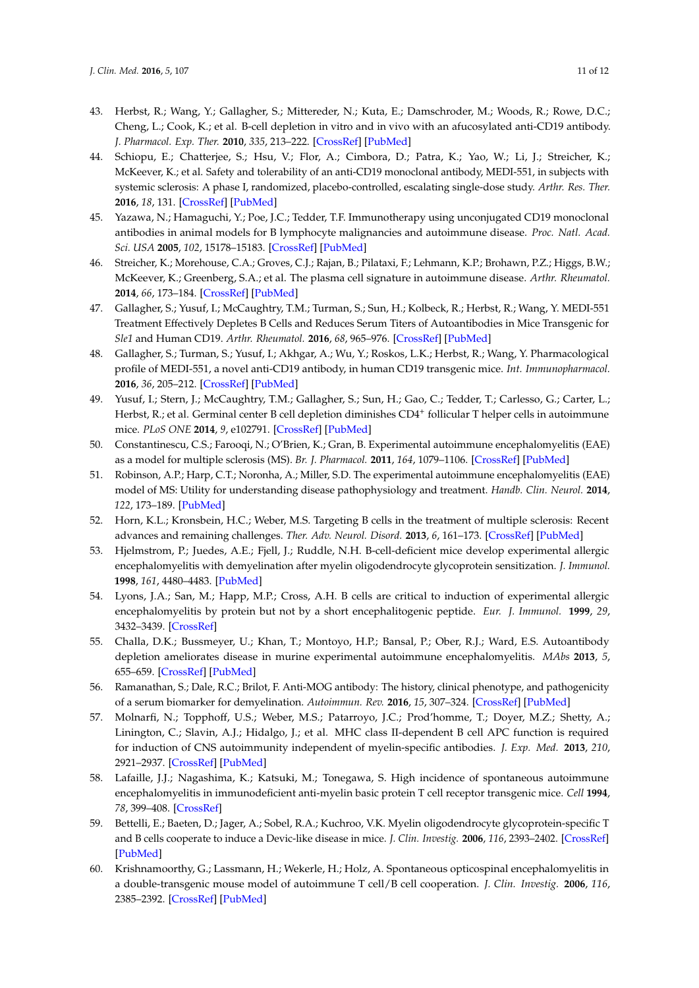- <span id="page-10-0"></span>43. Herbst, R.; Wang, Y.; Gallagher, S.; Mittereder, N.; Kuta, E.; Damschroder, M.; Woods, R.; Rowe, D.C.; Cheng, L.; Cook, K.; et al. B-cell depletion in vitro and in vivo with an afucosylated anti-CD19 antibody. *J. Pharmacol. Exp. Ther.* **2010**, *335*, 213–222. [\[CrossRef\]](http://dx.doi.org/10.1124/jpet.110.168062) [\[PubMed\]](http://www.ncbi.nlm.nih.gov/pubmed/20605905)
- <span id="page-10-1"></span>44. Schiopu, E.; Chatterjee, S.; Hsu, V.; Flor, A.; Cimbora, D.; Patra, K.; Yao, W.; Li, J.; Streicher, K.; McKeever, K.; et al. Safety and tolerability of an anti-CD19 monoclonal antibody, MEDI-551, in subjects with systemic sclerosis: A phase I, randomized, placebo-controlled, escalating single-dose study. *Arthr. Res. Ther.* **2016**, *18*, 131. [\[CrossRef\]](http://dx.doi.org/10.1186/s13075-016-1021-2) [\[PubMed\]](http://www.ncbi.nlm.nih.gov/pubmed/27267753)
- <span id="page-10-2"></span>45. Yazawa, N.; Hamaguchi, Y.; Poe, J.C.; Tedder, T.F. Immunotherapy using unconjugated CD19 monoclonal antibodies in animal models for B lymphocyte malignancies and autoimmune disease. *Proc. Natl. Acad. Sci. USA* **2005**, *102*, 15178–15183. [\[CrossRef\]](http://dx.doi.org/10.1073/pnas.0505539102) [\[PubMed\]](http://www.ncbi.nlm.nih.gov/pubmed/16217038)
- <span id="page-10-3"></span>46. Streicher, K.; Morehouse, C.A.; Groves, C.J.; Rajan, B.; Pilataxi, F.; Lehmann, K.P.; Brohawn, P.Z.; Higgs, B.W.; McKeever, K.; Greenberg, S.A.; et al. The plasma cell signature in autoimmune disease. *Arthr. Rheumatol.* **2014**, *66*, 173–184. [\[CrossRef\]](http://dx.doi.org/10.1002/art.38194) [\[PubMed\]](http://www.ncbi.nlm.nih.gov/pubmed/24431284)
- <span id="page-10-4"></span>47. Gallagher, S.; Yusuf, I.; McCaughtry, T.M.; Turman, S.; Sun, H.; Kolbeck, R.; Herbst, R.; Wang, Y. MEDI-551 Treatment Effectively Depletes B Cells and Reduces Serum Titers of Autoantibodies in Mice Transgenic for *Sle1* and Human CD19. *Arthr. Rheumatol.* **2016**, *68*, 965–976. [\[CrossRef\]](http://dx.doi.org/10.1002/art.39503) [\[PubMed\]](http://www.ncbi.nlm.nih.gov/pubmed/26606525)
- <span id="page-10-5"></span>48. Gallagher, S.; Turman, S.; Yusuf, I.; Akhgar, A.; Wu, Y.; Roskos, L.K.; Herbst, R.; Wang, Y. Pharmacological profile of MEDI-551, a novel anti-CD19 antibody, in human CD19 transgenic mice. *Int. Immunopharmacol.* **2016**, *36*, 205–212. [\[CrossRef\]](http://dx.doi.org/10.1016/j.intimp.2016.04.035) [\[PubMed\]](http://www.ncbi.nlm.nih.gov/pubmed/27163209)
- <span id="page-10-6"></span>49. Yusuf, I.; Stern, J.; McCaughtry, T.M.; Gallagher, S.; Sun, H.; Gao, C.; Tedder, T.; Carlesso, G.; Carter, L.; Herbst, R.; et al. Germinal center B cell depletion diminishes CD4<sup>+</sup> follicular T helper cells in autoimmune mice. *PLoS ONE* **2014**, *9*, e102791. [\[CrossRef\]](http://dx.doi.org/10.1371/journal.pone.0102791) [\[PubMed\]](http://www.ncbi.nlm.nih.gov/pubmed/25101629)
- <span id="page-10-7"></span>50. Constantinescu, C.S.; Farooqi, N.; O'Brien, K.; Gran, B. Experimental autoimmune encephalomyelitis (EAE) as a model for multiple sclerosis (MS). *Br. J. Pharmacol.* **2011**, *164*, 1079–1106. [\[CrossRef\]](http://dx.doi.org/10.1111/j.1476-5381.2011.01302.x) [\[PubMed\]](http://www.ncbi.nlm.nih.gov/pubmed/21371012)
- <span id="page-10-8"></span>51. Robinson, A.P.; Harp, C.T.; Noronha, A.; Miller, S.D. The experimental autoimmune encephalomyelitis (EAE) model of MS: Utility for understanding disease pathophysiology and treatment. *Handb. Clin. Neurol.* **2014**, *122*, 173–189. [\[PubMed\]](http://www.ncbi.nlm.nih.gov/pubmed/24507518)
- <span id="page-10-9"></span>52. Horn, K.L.; Kronsbein, H.C.; Weber, M.S. Targeting B cells in the treatment of multiple sclerosis: Recent advances and remaining challenges. *Ther. Adv. Neurol. Disord.* **2013**, *6*, 161–173. [\[CrossRef\]](http://dx.doi.org/10.1177/1756285612474333) [\[PubMed\]](http://www.ncbi.nlm.nih.gov/pubmed/23634189)
- <span id="page-10-10"></span>53. Hjelmstrom, P.; Juedes, A.E.; Fjell, J.; Ruddle, N.H. B-cell-deficient mice develop experimental allergic encephalomyelitis with demyelination after myelin oligodendrocyte glycoprotein sensitization. *J. Immunol.* **1998**, *161*, 4480–4483. [\[PubMed\]](http://www.ncbi.nlm.nih.gov/pubmed/9794370)
- <span id="page-10-11"></span>54. Lyons, J.A.; San, M.; Happ, M.P.; Cross, A.H. B cells are critical to induction of experimental allergic encephalomyelitis by protein but not by a short encephalitogenic peptide. *Eur. J. Immunol.* **1999**, *29*, 3432–3439. [\[CrossRef\]](http://dx.doi.org/10.1002/(SICI)1521-4141(199911)29:11<3432::AID-IMMU3432>3.0.CO;2-2)
- <span id="page-10-12"></span>55. Challa, D.K.; Bussmeyer, U.; Khan, T.; Montoyo, H.P.; Bansal, P.; Ober, R.J.; Ward, E.S. Autoantibody depletion ameliorates disease in murine experimental autoimmune encephalomyelitis. *MAbs* **2013**, *5*, 655–659. [\[CrossRef\]](http://dx.doi.org/10.4161/mabs.25439) [\[PubMed\]](http://www.ncbi.nlm.nih.gov/pubmed/23846320)
- <span id="page-10-13"></span>56. Ramanathan, S.; Dale, R.C.; Brilot, F. Anti-MOG antibody: The history, clinical phenotype, and pathogenicity of a serum biomarker for demyelination. *Autoimmun. Rev.* **2016**, *15*, 307–324. [\[CrossRef\]](http://dx.doi.org/10.1016/j.autrev.2015.12.004) [\[PubMed\]](http://www.ncbi.nlm.nih.gov/pubmed/26708342)
- <span id="page-10-14"></span>57. Molnarfi, N.; Topphoff, U.S.; Weber, M.S.; Patarroyo, J.C.; Prod'homme, T.; Doyer, M.Z.; Shetty, A.; Linington, C.; Slavin, A.J.; Hidalgo, J.; et al. MHC class II-dependent B cell APC function is required for induction of CNS autoimmunity independent of myelin-specific antibodies. *J. Exp. Med.* **2013**, *210*, 2921–2937. [\[CrossRef\]](http://dx.doi.org/10.1084/jem.20130699) [\[PubMed\]](http://www.ncbi.nlm.nih.gov/pubmed/24323356)
- <span id="page-10-15"></span>58. Lafaille, J.J.; Nagashima, K.; Katsuki, M.; Tonegawa, S. High incidence of spontaneous autoimmune encephalomyelitis in immunodeficient anti-myelin basic protein T cell receptor transgenic mice. *Cell* **1994**, *78*, 399–408. [\[CrossRef\]](http://dx.doi.org/10.1016/0092-8674(94)90419-7)
- <span id="page-10-16"></span>59. Bettelli, E.; Baeten, D.; Jager, A.; Sobel, R.A.; Kuchroo, V.K. Myelin oligodendrocyte glycoprotein-specific T and B cells cooperate to induce a Devic-like disease in mice. *J. Clin. Investig.* **2006**, *116*, 2393–2402. [\[CrossRef\]](http://dx.doi.org/10.1172/JCI28334) [\[PubMed\]](http://www.ncbi.nlm.nih.gov/pubmed/16955141)
- <span id="page-10-17"></span>60. Krishnamoorthy, G.; Lassmann, H.; Wekerle, H.; Holz, A. Spontaneous opticospinal encephalomyelitis in a double-transgenic mouse model of autoimmune T cell/B cell cooperation. *J. Clin. Investig.* **2006**, *116*, 2385–2392. [\[CrossRef\]](http://dx.doi.org/10.1172/JCI28330) [\[PubMed\]](http://www.ncbi.nlm.nih.gov/pubmed/16955140)